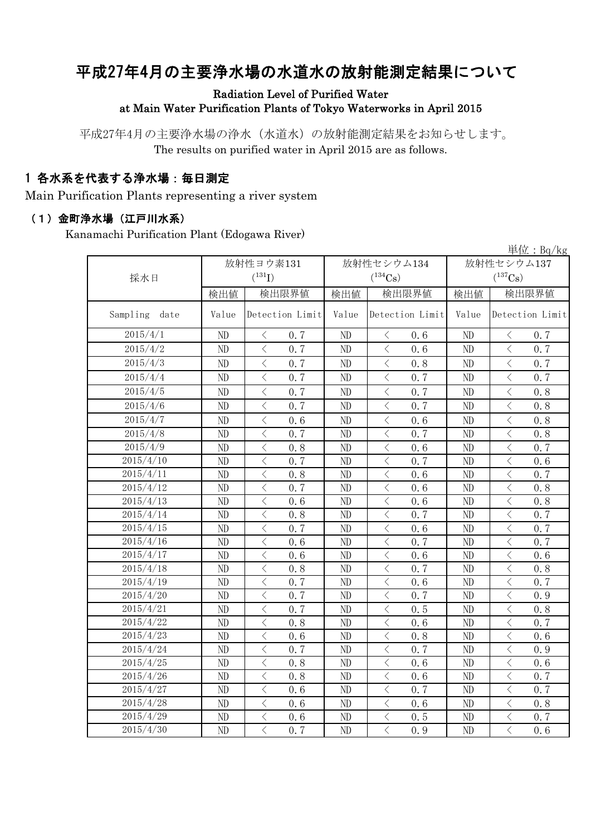# 平成27年4月の主要浄水場の水道水の放射能測定結果について

#### Radiation Level of Purified Water at Main Water Purification Plants of Tokyo Waterworks in April 2015

平成27年4月の主要浄水場の浄水(水道水)の放射能測定結果をお知らせします。 The results on purified water in April 2015 are as follows.

## 1 各水系を代表する浄水場:毎日測定

Main Purification Plants representing a river system

#### (1)金町浄水場(江戸川水系)

Kanamachi Purification Plant (Edogawa River)

|                  |          |                                                 |          |                                                  |                       | 単位: $Bq/kg$                                                                                                                                                                                                                                                                                                                                                                                                                                                                                                                                                                                                                                                                               |  |
|------------------|----------|-------------------------------------------------|----------|--------------------------------------------------|-----------------------|-------------------------------------------------------------------------------------------------------------------------------------------------------------------------------------------------------------------------------------------------------------------------------------------------------------------------------------------------------------------------------------------------------------------------------------------------------------------------------------------------------------------------------------------------------------------------------------------------------------------------------------------------------------------------------------------|--|
|                  |          | 放射性ヨウ素131                                       |          | 放射性セシウム134                                       | 放射性セシウム137            |                                                                                                                                                                                                                                                                                                                                                                                                                                                                                                                                                                                                                                                                                           |  |
| 採水日              |          | $(^{131}I)$                                     |          | $(^{134}\mathrm{Cs})$                            | $(^{137}\mathrm{Cs})$ |                                                                                                                                                                                                                                                                                                                                                                                                                                                                                                                                                                                                                                                                                           |  |
|                  | 検出値      | 検出限界値                                           | 検出値      | 検出限界値                                            | 検出値                   | 検出限界値                                                                                                                                                                                                                                                                                                                                                                                                                                                                                                                                                                                                                                                                                     |  |
| Sampling<br>date | Value    | Detection Limit                                 | Value    | Detection Limit                                  | Value                 | Detection Limit                                                                                                                                                                                                                                                                                                                                                                                                                                                                                                                                                                                                                                                                           |  |
| 2015/4/1         | ND       | $\langle$<br>0.7                                | ND       | $\langle$<br>0.6                                 | ND                    | $\langle$<br>0.7                                                                                                                                                                                                                                                                                                                                                                                                                                                                                                                                                                                                                                                                          |  |
| 2015/4/2         | ND       | $\langle$<br>0.7                                | ND       | $\langle$<br>0.6                                 | ND                    | $\overline{\left\langle \right\rangle }$<br>0.7                                                                                                                                                                                                                                                                                                                                                                                                                                                                                                                                                                                                                                           |  |
| 2015/4/3         | ND       | $\, < \,$<br>0.7                                | ND       | $\,$ $\,$ $\,$<br>0.8                            | ND                    | $\lt$<br>0.7                                                                                                                                                                                                                                                                                                                                                                                                                                                                                                                                                                                                                                                                              |  |
| 2015/4/4         | ND       | $\,$ $\,$ $\,$<br>0.7                           | ND       | $\langle$<br>0.7                                 | ND                    | $\langle$<br>0.7                                                                                                                                                                                                                                                                                                                                                                                                                                                                                                                                                                                                                                                                          |  |
| 2015/4/5         | ND       | $\,$ $\,$ $\,$<br>0.7                           | ND       | $\lt$<br>0.7                                     | ND                    | $\langle$<br>0.8                                                                                                                                                                                                                                                                                                                                                                                                                                                                                                                                                                                                                                                                          |  |
| 2015/4/6         | ND       | $\,$ $\,$ $\,$<br>0.7                           | ND       | $\,$ $\,$ $\,$<br>0.7                            | ND                    | $\overline{\left\langle \right. }% ,\left\langle \overline{\left\langle \right. }\right\rangle _{0}\right\langle \left. \overline{\left\langle \right. }\right\rangle _{0}\left\langle \overline{\left\langle \right. }\right\rangle _{0}\left\langle \overline{\left\langle \right. }\right\rangle _{0}\left\langle \overline{\left\langle \right. }\right\rangle _{0}\left\langle \overline{\left\langle \right. }\right\rangle _{0}\left\langle \overline{\left\langle \right. }\right\rangle _{0}\left\langle \overline{\left\langle \right. }\right\rangle _{0}\left\langle \overline{\left\langle \right. }\right\rangle _{0}\left\langle \overline{\left\langle \right. }\$<br>0.8 |  |
| 2015/4/7         | ND       | $\, < \,$<br>0.6                                | ND       | $\langle$<br>0.6                                 | ND                    | $\overline{\left\langle \right\rangle }$<br>0.8                                                                                                                                                                                                                                                                                                                                                                                                                                                                                                                                                                                                                                           |  |
| 2015/4/8         | ND       | $\langle$<br>0.7                                | ND       | $\overline{\left\langle \right\rangle }$<br>0.7  | ND                    | $\overline{\left\langle \right\rangle }$<br>0.8                                                                                                                                                                                                                                                                                                                                                                                                                                                                                                                                                                                                                                           |  |
| 2015/4/9         | $\rm ND$ | $\,$ $\,$ $\,$<br>0.8                           | ND       | $\overline{\langle}$<br>0.6                      | ND                    | $\,$ $\,$ $\,$<br>0.7                                                                                                                                                                                                                                                                                                                                                                                                                                                                                                                                                                                                                                                                     |  |
| 2015/4/10        | $\rm ND$ | $\,$ $\,$ $\,$<br>0.7                           | $\rm ND$ | $\overline{\left\langle \right\rangle }$<br>0.7  | ND                    | $\,$ $\,$ $\,$<br>0.6                                                                                                                                                                                                                                                                                                                                                                                                                                                                                                                                                                                                                                                                     |  |
| 2015/4/11        | ND       | $\langle$<br>0.8                                | ND       | $\lt$<br>0.6                                     | ND                    | $\overline{\left\langle \right\rangle }$<br>0.7                                                                                                                                                                                                                                                                                                                                                                                                                                                                                                                                                                                                                                           |  |
| 2015/4/12        | ND       | $\langle$<br>0.7                                | ND       | $\overline{\left\langle \right\rangle }$<br>0.6  | ND                    | $\langle$<br>0.8                                                                                                                                                                                                                                                                                                                                                                                                                                                                                                                                                                                                                                                                          |  |
| 2015/4/13        | ND       | $\langle$<br>0, 6                               | ND       | $\overline{\left\langle \right\rangle }$<br>0, 6 | ND                    | $\lt$<br>0.8                                                                                                                                                                                                                                                                                                                                                                                                                                                                                                                                                                                                                                                                              |  |
| 2015/4/14        | ND       | $\,$ $\,$ $\,$<br>0.8                           | ND       | $\hspace{0.1mm}\big\langle$<br>0.7               | ND                    | $\langle$<br>0.7                                                                                                                                                                                                                                                                                                                                                                                                                                                                                                                                                                                                                                                                          |  |
| 2015/4/15        | $\rm ND$ | $\hspace{0.5cm}\big\langle$<br>0.7              | ND       | $\langle$<br>0.6                                 | ND                    | $\, \zeta \,$<br>0.7                                                                                                                                                                                                                                                                                                                                                                                                                                                                                                                                                                                                                                                                      |  |
| 2015/4/16        | ND       | $\,<\,$<br>0.6                                  | ND       | $\hspace{0.5cm}\big\langle$<br>0.7               | ND                    | $\langle$<br>0.7                                                                                                                                                                                                                                                                                                                                                                                                                                                                                                                                                                                                                                                                          |  |
| 2015/4/17        | ND       | $\hspace{0.1mm} <\hspace{0.1mm}$<br>0.6         | ND       | $\hspace{0.1mm}\big\langle$<br>0.6               | ND                    | $\, \zeta \,$<br>0.6                                                                                                                                                                                                                                                                                                                                                                                                                                                                                                                                                                                                                                                                      |  |
| 2015/4/18        | ND       | $\langle$<br>0.8                                | ND       | $\langle$<br>0.7                                 | ND                    | $\lt$<br>0.8                                                                                                                                                                                                                                                                                                                                                                                                                                                                                                                                                                                                                                                                              |  |
| 2015/4/19        | ND       | $\, < \,$<br>0.7                                | ND       | $\,$ $\,$ $\,$<br>0.6                            | ND                    | $\lt$<br>0.7                                                                                                                                                                                                                                                                                                                                                                                                                                                                                                                                                                                                                                                                              |  |
| 2015/4/20        | ND       | $\langle$<br>0.7                                | ND       | $\langle$<br>0.7                                 | ND                    | $\overline{\left\langle \right\rangle }$<br>0.9                                                                                                                                                                                                                                                                                                                                                                                                                                                                                                                                                                                                                                           |  |
| 2015/4/21        | ND       | $\lt$<br>0.7                                    | ND       | $\langle$<br>0.5                                 | ND                    | $\lt$<br>0.8                                                                                                                                                                                                                                                                                                                                                                                                                                                                                                                                                                                                                                                                              |  |
| 2015/4/22        | ND       | $\,$ $\,$ $\,$<br>0.8                           | ND       | $\hspace{0.1mm}\big\langle$<br>0.6               | ND                    | $\langle$<br>0.7                                                                                                                                                                                                                                                                                                                                                                                                                                                                                                                                                                                                                                                                          |  |
| 2015/4/23        | ND       | $\lt$<br>0.6                                    | ND       | $\langle$<br>0.8                                 | ND                    | $\overline{\left\langle \right\rangle }$<br>0.6                                                                                                                                                                                                                                                                                                                                                                                                                                                                                                                                                                                                                                           |  |
| 2015/4/24        | ND       | $\,$ $\,$ $\,$<br>0.7                           | ND       | $\overline{\left\langle \right\rangle }$<br>0.7  | ND                    | $\langle$<br>0.9                                                                                                                                                                                                                                                                                                                                                                                                                                                                                                                                                                                                                                                                          |  |
| 2015/4/25        | ND       | $\,$ $\,$ $\,$<br>0.8                           | ND       | $\lt$<br>0.6                                     | ND                    | $\langle$<br>0.6                                                                                                                                                                                                                                                                                                                                                                                                                                                                                                                                                                                                                                                                          |  |
| 2015/4/26        | ND       | $\overline{\left\langle \right\rangle }$<br>0.8 | ND       | $\overline{\left\langle \right\rangle }$<br>0.6  | ND                    | $\overline{\left\langle \right\rangle }$<br>0.7                                                                                                                                                                                                                                                                                                                                                                                                                                                                                                                                                                                                                                           |  |
| 2015/4/27        | ND       | $\,$ $\,$ $\,$<br>0.6                           | ND       | $\overline{\left\langle \right\rangle }$<br>0.7  | ND                    | $\overline{\left\langle \right\rangle }$<br>0.7                                                                                                                                                                                                                                                                                                                                                                                                                                                                                                                                                                                                                                           |  |
| 2015/4/28        | $\rm ND$ | $\langle$<br>0.6                                | ND       | $\,$ $\,$ $\,$<br>0.6                            | ND                    | $\overline{\left\langle \right\rangle }$<br>0.8                                                                                                                                                                                                                                                                                                                                                                                                                                                                                                                                                                                                                                           |  |
| 2015/4/29        | ND       | $\,$ $\,$ $\,$<br>0.6                           | ND       | $\langle$<br>0.5                                 | ND                    | $\mathord{<}$<br>0.7                                                                                                                                                                                                                                                                                                                                                                                                                                                                                                                                                                                                                                                                      |  |
| 2015/4/30        | ND       | $\overline{\left\langle \right\rangle }$<br>0.7 | ND       | $\overline{\left\langle \right\rangle }$<br>0.9  | ND                    | $\overline{\left\langle \right\rangle }$<br>0.6                                                                                                                                                                                                                                                                                                                                                                                                                                                                                                                                                                                                                                           |  |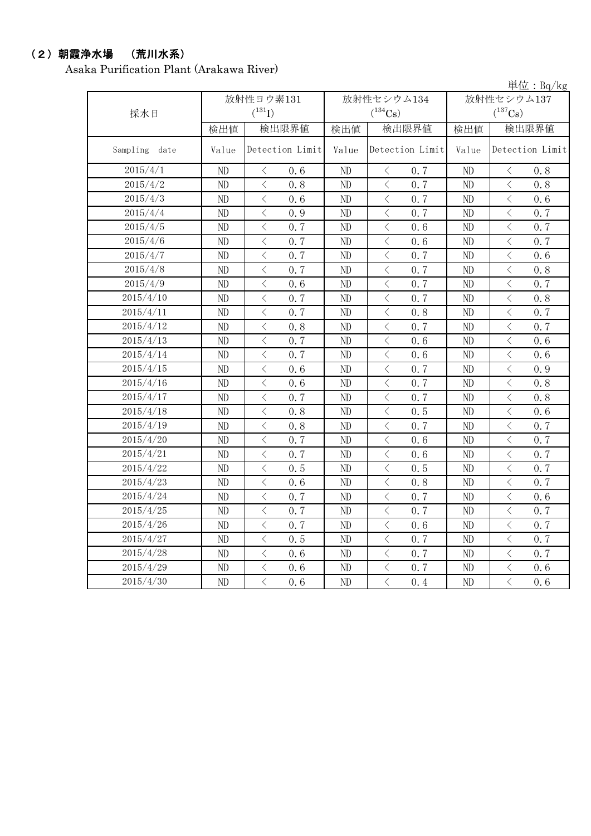# (2)朝霞浄水場 (荒川水系)

Asaka Purification Plant (Arakawa River)

単位:Bq/kg

| 採水日              |          | 放射性ヨウ素131<br>$(^{131}I)$                        |          | 放射性セシウム134<br>$(^{134}Cs)$                      | 放射性セシウム137<br>$(^{137}Cs)$ |                                                 |  |
|------------------|----------|-------------------------------------------------|----------|-------------------------------------------------|----------------------------|-------------------------------------------------|--|
|                  | 検出値      | 検出限界値                                           | 検出値      | 検出限界値                                           | 検出値                        | 検出限界値                                           |  |
| Sampling<br>date | Value    | Detection Limit                                 | Value    | Detection Limit                                 | Value                      | Detection Limit                                 |  |
| 2015/4/1         | ND       | $\langle$<br>0.6                                | ND       | $\big\langle$<br>0.7                            | ND                         | $\, <\,$<br>0.8                                 |  |
| 2015/4/2         | ND       | $\langle$<br>0.8                                | ND       | $\langle$<br>0.7                                | ND                         | $\overline{\left\langle \right\rangle }$<br>0.8 |  |
| 2015/4/3         | ND       | $\lt$<br>0.6                                    | ND       | $\langle$<br>0.7                                | ND                         | $\lt$<br>0.6                                    |  |
| 2015/4/4         | ND       | $\,$ $\,$ $\,$<br>0.9                           | ND       | 0.7<br>$\lt$                                    | ND                         | 0.7<br>$\langle$                                |  |
| 2015/4/5         | ND       | $\langle$<br>0.7                                | ND       | $\lt$<br>0.6                                    | ND                         | $\langle$<br>0.7                                |  |
| 2015/4/6         | ND       | $\langle$<br>0.7                                | ND       | $\langle$<br>0.6                                | ND                         | $\langle$<br>0.7                                |  |
| 2015/4/7         | $\rm ND$ | $\langle$<br>0.7                                | ND       | $\, \zeta \,$<br>0.7                            | ND                         | $\hspace{0.1cm}\big\langle$<br>0.6              |  |
| 2015/4/8         | ND       | $\,$ $\,$ $\,$<br>0.7                           | ND       | $\lt$<br>0.7                                    | ND                         | $\,$ $\,$ $\,$<br>0.8                           |  |
| 2015/4/9         | ND       | $\overline{\left\langle \right\rangle }$<br>0.6 | ND       | $\overline{\left\langle \right\rangle }$<br>0.7 | ND                         | $\langle$<br>0.7                                |  |
| 2015/4/10        | ND       | $\langle$<br>0.7                                | ND       | $\lt$<br>0.7                                    | ND                         | $\lt$<br>0.8                                    |  |
| 2015/4/11        | ND       | $\langle$<br>0.7                                | ND       | $\lt$<br>0.8                                    | ND                         | $\lt$<br>0.7                                    |  |
| 2015/4/12        | ND       | $\,$ $\,$ $\,$<br>0.8                           | ND       | $\lt$<br>0.7                                    | ND                         | $\langle$<br>0.7                                |  |
| 2015/4/13        | ND       | $\langle$<br>0.7                                | ND       | $\langle$<br>0.6                                | ND                         | $\langle$<br>0.6                                |  |
| 2015/4/14        | ND       | $\,$ $\,$ $\,$<br>0.7                           | ND       | $\langle$<br>0.6                                | ND                         | $\,<\,$<br>0.6                                  |  |
| 2015/4/15        | $\rm ND$ | $\,$ $\,$ $\,$<br>0.6                           | ND       | $\overline{\left\langle \right\rangle }$<br>0.7 | ND                         | $\,$ $\,$ $\,$<br>0.9                           |  |
| 2015/4/16        | ND       | $\,$ $\,$ $\,$<br>0.6                           | ND       | $\lt$<br>0.7                                    | ND                         | $\,$ $\,$ $\,$<br>0.8                           |  |
| 2015/4/17        | ND       | $\overline{\left\langle \right\rangle }$<br>0.7 | ND       | $\overline{\left\langle \right\rangle }$<br>0.7 | ND                         | $\langle$<br>0.8                                |  |
| 2015/4/18        | ND       | $\lt$<br>0.8                                    | ND       | $\lt$<br>0.5                                    | ND                         | $\lt$<br>0.6                                    |  |
| 2015/4/19        | $\rm ND$ | $\langle$<br>0.8                                | ND       | $\overline{\left\langle \right\rangle }$<br>0.7 | ND                         | $\overline{\left\langle \right\rangle }$<br>0.7 |  |
| 2015/4/20        | ND       | $\, <\,$<br>0.7                                 | ND       | $\, <\,$<br>0.6                                 | ND                         | $\, <\,$<br>0.7                                 |  |
| 2015/4/21        | ND       | $\,$ $\,$ $\,$<br>0.7                           | ND       | $\,$ $\,$ $\,$<br>0.6                           | ND                         | $\langle$<br>0.7                                |  |
| 2015/4/22        | ND       | $\,$ $\,$ $\,$<br>0.5                           | ND       | $\lt$<br>0.5                                    | ND                         | $\,$ $\,$ $\,$<br>0.7                           |  |
| 2015/4/23        | ND       | $\,$ $\,$ $\,$<br>0.6                           | ND       | $\overline{\left\langle \right\rangle }$<br>0.8 | ND                         | $\langle$<br>0.7                                |  |
| 2015/4/24        | ND       | $\,$ $\,$ $\,$<br>0.7                           | ND       | $\lt$<br>0.7                                    | ND                         | $\,$ $\,$ $\,$<br>0.6                           |  |
| 2015/4/25        | ND       | $\langle$<br>0.7                                | ND       | $\langle$<br>0.7                                | ND                         | $\langle$<br>0.7                                |  |
| 2015/4/26        | $\rm ND$ | $\lt$<br>0.7                                    | $\rm ND$ | $\lt$<br>0.6                                    | ND                         | $\overline{\left\langle \right\rangle }$<br>0.7 |  |
| 2015/4/27        | ND       | $\lt$<br>0.5                                    | ND       | $\langle$<br>0.7                                | ND                         | $\lt$<br>0.7                                    |  |
| 2015/4/28        | ND       | $\,$ $\,$ $\,$<br>0.6                           | ND       | $\lt$<br>0.7                                    | ND                         | $\,$ $\,$ $\,$<br>0.7                           |  |
| 2015/4/29        | ND       | $\langle$<br>0.6                                | ND       | $\lt$<br>0.7                                    | ND                         | $\langle$<br>0.6                                |  |
| 2015/4/30        | ND       | $\langle$<br>0.6                                | ND       | $\langle$<br>0.4                                | ND                         | $\overline{\left\langle \right\rangle }$<br>0.6 |  |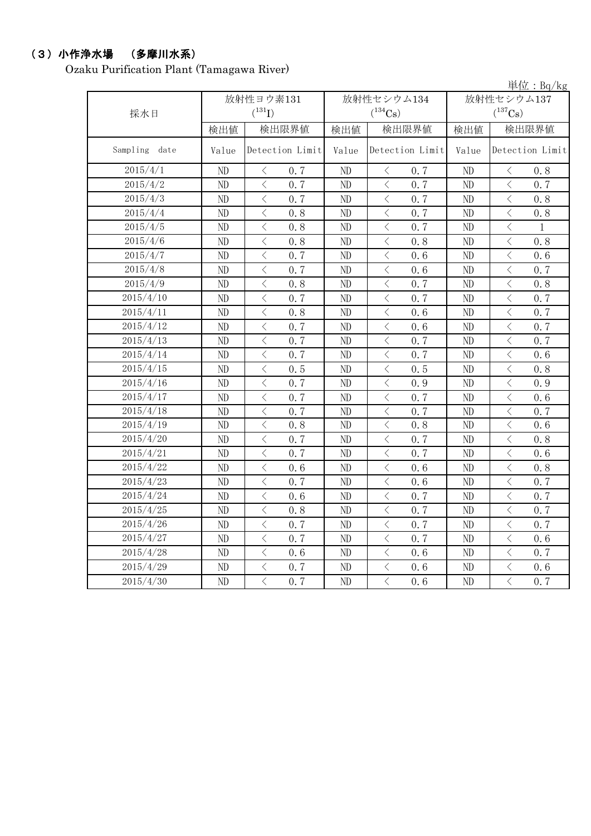## (3)小作浄水場 (多摩川水系)

Ozaku Purification Plant (Tamagawa River)

|               |       |                                                 |          |                                                 |            | 単位: Bq/kg                                       |  |
|---------------|-------|-------------------------------------------------|----------|-------------------------------------------------|------------|-------------------------------------------------|--|
|               |       | 放射性ヨウ素131                                       |          | 放射性セシウム134                                      | 放射性セシウム137 |                                                 |  |
| 採水日           |       | $(^{131}I)$                                     |          | $(^{134}Cs)$                                    |            | $(^{137}Cs)$                                    |  |
|               | 検出値   | 検出限界値                                           | 検出値      | 検出限界値                                           | 検出値        | 検出限界値                                           |  |
| Sampling date | Value | Detection Limit                                 | Value    | Detection Limit                                 | Value      | Detection Limit                                 |  |
| 2015/4/1      | ND    | $\langle$<br>0.7                                | $\rm ND$ | $\langle$<br>0.7                                | ND         | 0.8<br>$\langle$                                |  |
| 2015/4/2      | ND    | $\langle$<br>0.7                                | ND       | $\langle$<br>0.7                                | ND         | $\langle$<br>0.7                                |  |
| 2015/4/3      | ND    | $\overline{\langle}$<br>0.7                     | ND       | $\langle$<br>0.7                                | ND         | $\overline{\left\langle \right\rangle }$<br>0.8 |  |
| 2015/4/4      | ND    | $\overline{\left\langle \right\rangle }$<br>0.8 | ND       | $\lt$<br>0.7                                    | ND         | $\overline{\left\langle \right\rangle }$<br>0.8 |  |
| 2015/4/5      | ND    | $\,$ $\,$ $\,$<br>0.8                           | ND       | $\lt$<br>0.7                                    | ND         | $\lt$<br>1                                      |  |
| 2015/4/6      | ND    | $\overline{\left\langle \right\rangle }$<br>0.8 | ND       | $\overline{\left\langle \right\rangle }$<br>0.8 | ND         | $\langle$<br>0.8                                |  |
| 2015/4/7      | ND    | $\,$ $\,$ $\,$<br>0.7                           | ND       | $\hspace{0.1mm}\big\langle$<br>0.6              | ND         | $\hspace{0.1mm} <\hspace{0.1mm}$<br>0.6         |  |
| 2015/4/8      | ND    | $\,$ $\,$ $\,$<br>0.7                           | ND       | $\langle$<br>0.6                                | ND         | $\langle$<br>0.7                                |  |
| 2015/4/9      | ND    | $\lt$<br>0.8                                    | ND       | $\langle$<br>0.7                                | ND         | $\, \big\langle \,$<br>0.8                      |  |
| 2015/4/10     | ND    | $\langle$<br>0.7                                | ND       | $\langle$<br>0.7                                | $\rm ND$   | $\lt$<br>0.7                                    |  |
| 2015/4/11     | ND    | $\lt$<br>0.8                                    | ND       | $\lt$<br>0.6                                    | ND         | $\lt$<br>0.7                                    |  |
| 2015/4/12     | ND    | $\langle$<br>0.7                                | ND       | $\langle$<br>0.6                                | ND         | $\langle$<br>0.7                                |  |
| 2015/4/13     | ND    | $\overline{\left\langle \right\rangle }$<br>0.7 | ND       | $\,$ $\,$ $\,$<br>0.7                           | ND         | $\langle$<br>0.7                                |  |
| 2015/4/14     | ND    | $\overline{\left\langle \right\rangle }$<br>0.7 | ND       | $\,$ $\,$ $\,$<br>0.7                           | ND         | $\langle$<br>0.6                                |  |
| 2015/4/15     | ND    | $\overline{\left\langle \right\rangle }$<br>0.5 | ND       | $\,$ $\,$ $\,$<br>0.5                           | ND         | $\,$ $\,$ $\,$<br>0.8                           |  |
| 2015/4/16     | ND    | $\overline{\left\langle \right\rangle }$<br>0.7 | ND       | $\overline{\langle}$<br>0.9                     | ND         | $\overline{\left\langle \right\rangle }$<br>0.9 |  |
| 2015/4/17     | ND    | $\,$ $\,$ $\,$<br>0.7                           | ND       | $\,$ $\,$ $\,$<br>0.7                           | ND         | $\,$ $\,$ $\,$<br>0.6                           |  |
| 2015/4/18     | ND    | $\,$ $\,$ $\,$<br>0.7                           | ND       | $\langle$<br>0.7                                | $\rm ND$   | $\lt$<br>0.7                                    |  |
| 2015/4/19     | ND    | $\,$ $\,$ $\,$<br>0.8                           | ND       | $\lt$<br>0.8                                    | ND         | $\lt$<br>0.6                                    |  |
| 2015/4/20     | ND    | $\langle$<br>0.7                                | ND       | $\,$ $\,$ $\,$<br>0.7                           | ND         | $\,$ $\,$ $\,$<br>0.8                           |  |
| 2015/4/21     | ND    | $\,$ $\,$ $\,$<br>0.7                           | ND       | $\lt$<br>0.7                                    | ND         | $\lt$<br>0.6                                    |  |
| 2015/4/22     | ND    | $\lt$<br>0.6                                    | ND       | $\langle$<br>0.6                                | ND         | $\lt$<br>0.8                                    |  |
| 2015/4/23     | ND    | $\langle$<br>0.7                                | ND       | $\, \big\langle \,$<br>0.6                      | ND         | $\langle$<br>0.7                                |  |
| 2015/4/24     | ND    | $\lt$<br>0, 6                                   | ND       | $\langle$<br>0.7                                | ND         | $\lt$<br>0.7                                    |  |
| 2015/4/25     | ND    | $\langle$<br>0.8                                | ND       | $\langle$<br>0.7                                | ND         | $\langle$<br>0.7                                |  |
| 2015/4/26     | ND    | $\lt$<br>0.7                                    | ND       | $\lt$<br>0.7                                    | ND         | $\lt$<br>0.7                                    |  |
| 2015/4/27     | ND    | $\overline{\left\langle \right\rangle }$<br>0.7 | ND       | $\,$ $\,$ $\,$<br>0.7                           | ND         | $\langle$<br>0.6                                |  |
| 2015/4/28     | ND    | $\overline{\left\langle \right\rangle }$<br>0.6 | ND       | $\,$ $\,$ $\,$<br>0.6                           | ND         | $\langle$<br>0.7                                |  |
| 2015/4/29     | ND    | $\,$ $\,$ $\,$<br>0.7                           | ND       | $\langle$<br>0.6                                | ND         | $\langle$<br>0.6                                |  |
| 2015/4/30     | ND    | $\overline{\langle}$<br>0.7                     | ND       | $\overline{\langle}$<br>0.6                     | ND         | $\overline{\langle}$<br>0.7                     |  |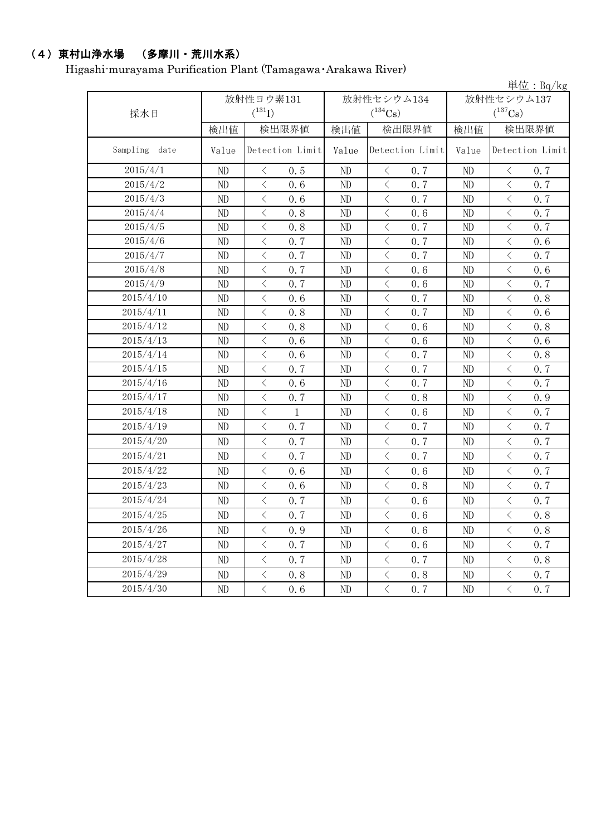## (4)東村山浄水場 (多摩川・荒川水系)

Higashi-murayama Purification Plant (Tamagawa・Arakawa River)

|               |          | 単位: Bq/kg                                        |       |                                    |                |                                                                                                                                                                                                                                                                                                                                                                                                                                                                                                                                                                                                                                                                                           |  |  |  |  |
|---------------|----------|--------------------------------------------------|-------|------------------------------------|----------------|-------------------------------------------------------------------------------------------------------------------------------------------------------------------------------------------------------------------------------------------------------------------------------------------------------------------------------------------------------------------------------------------------------------------------------------------------------------------------------------------------------------------------------------------------------------------------------------------------------------------------------------------------------------------------------------------|--|--|--|--|
|               |          | 放射性ヨウ素131                                        |       | 放射性セシウム134                         | 放射性セシウム137     |                                                                                                                                                                                                                                                                                                                                                                                                                                                                                                                                                                                                                                                                                           |  |  |  |  |
| 採水日           |          | $(^{131}I)$                                      |       | $(^{134}Cs)$                       |                | $(^{137}Cs)$                                                                                                                                                                                                                                                                                                                                                                                                                                                                                                                                                                                                                                                                              |  |  |  |  |
|               | 検出値      | 検出限界値                                            | 検出値   | 検出限界値                              | 検出値            | 検出限界値                                                                                                                                                                                                                                                                                                                                                                                                                                                                                                                                                                                                                                                                                     |  |  |  |  |
| Sampling date | Value    | Detection Limit                                  | Value | Detection Limit                    | Value          | Detection Limit                                                                                                                                                                                                                                                                                                                                                                                                                                                                                                                                                                                                                                                                           |  |  |  |  |
| 2015/4/1      | ND       | 0.5<br>$\langle$                                 | ND    | $\langle$<br>0.7                   | N <sub>D</sub> | $\langle$<br>0.7                                                                                                                                                                                                                                                                                                                                                                                                                                                                                                                                                                                                                                                                          |  |  |  |  |
| 2015/4/2      | ND       | $\overline{\left\langle \right\rangle }$<br>0.6  | ND    | $\langle$<br>0.7                   | ND             | $\lt$<br>0.7                                                                                                                                                                                                                                                                                                                                                                                                                                                                                                                                                                                                                                                                              |  |  |  |  |
| 2015/4/3      | ND       | $\langle$<br>0, 6                                | ND    | $\langle$<br>0.7                   | ND             | $\langle$<br>0.7                                                                                                                                                                                                                                                                                                                                                                                                                                                                                                                                                                                                                                                                          |  |  |  |  |
| 2015/4/4      | ND       | $\overline{\left\langle \right\rangle }$<br>0.8  | ND    | $\,$ $\,$ $\,$<br>0.6              | ND             | $\overline{\left\langle \right\rangle }$<br>0.7                                                                                                                                                                                                                                                                                                                                                                                                                                                                                                                                                                                                                                           |  |  |  |  |
| 2015/4/5      | ND       | $\langle$<br>0.8                                 | ND    | $\langle$<br>0.7                   | ND             | $\langle$<br>0.7                                                                                                                                                                                                                                                                                                                                                                                                                                                                                                                                                                                                                                                                          |  |  |  |  |
| 2015/4/6      | ND       | $\langle$<br>0.7                                 | ND    | $\lt$<br>0.7                       | ND             | $\langle$<br>0.6                                                                                                                                                                                                                                                                                                                                                                                                                                                                                                                                                                                                                                                                          |  |  |  |  |
| 2015/4/7      | ND       | $\langle$<br>0.7                                 | ND    | $\langle$<br>0.7                   | ND             | $\langle$<br>0.7                                                                                                                                                                                                                                                                                                                                                                                                                                                                                                                                                                                                                                                                          |  |  |  |  |
| 2015/4/8      | ND       | $\langle$<br>0.7                                 | ND    | $\langle$<br>0.6                   | ND             | $\langle$<br>0.6                                                                                                                                                                                                                                                                                                                                                                                                                                                                                                                                                                                                                                                                          |  |  |  |  |
| 2015/4/9      | ND       | $\lt$<br>0.7                                     | ND    | $\,$ $\,$ $\,$<br>0.6              | ND             | $\lt$<br>0.7                                                                                                                                                                                                                                                                                                                                                                                                                                                                                                                                                                                                                                                                              |  |  |  |  |
| 2015/4/10     | ND       | $\overline{\left\langle \right\rangle }$<br>0, 6 | ND    | $\lt$<br>0.7                       | ND             | $\langle$<br>0, 8                                                                                                                                                                                                                                                                                                                                                                                                                                                                                                                                                                                                                                                                         |  |  |  |  |
| 2015/4/11     | ND       | $\overline{\left\langle \right\rangle }$<br>0.8  | ND    | $\langle$<br>0.7                   | ND             | $\overline{\left\langle \right\rangle }$<br>0.6                                                                                                                                                                                                                                                                                                                                                                                                                                                                                                                                                                                                                                           |  |  |  |  |
| 2015/4/12     | ND       | $\lt$<br>0.8                                     | ND    | $\langle$<br>0.6                   | ND             | $\lt$<br>0.8                                                                                                                                                                                                                                                                                                                                                                                                                                                                                                                                                                                                                                                                              |  |  |  |  |
| 2015/4/13     | ND       | $\lt$<br>0.6                                     | ND    | $\langle$<br>0, 6                  | N <sub>D</sub> | $\lt$<br>0.6                                                                                                                                                                                                                                                                                                                                                                                                                                                                                                                                                                                                                                                                              |  |  |  |  |
| 2015/4/14     | ND       | $\overline{\left\langle \right\rangle }$<br>0.6  | ND    | $\lt$<br>0.7                       | ND             | $\,$ $\,$ $\,$<br>0.8                                                                                                                                                                                                                                                                                                                                                                                                                                                                                                                                                                                                                                                                     |  |  |  |  |
| 2015/4/15     | ND       | $\langle$<br>0.7                                 | ND    | $\,$ $\,$ $\,$<br>0.7              | ND             | $\overline{\left\langle \right\rangle }$<br>0.7                                                                                                                                                                                                                                                                                                                                                                                                                                                                                                                                                                                                                                           |  |  |  |  |
| 2015/4/16     | ND       | $\,$ $\,$ $\,$<br>0.6                            | ND    | $\, <\,$<br>0.7                    | ND             | $\bigg\langle$<br>0.7                                                                                                                                                                                                                                                                                                                                                                                                                                                                                                                                                                                                                                                                     |  |  |  |  |
| 2015/4/17     | ND       | $\,$ $\,$ $\,$<br>0.7                            | ND    | $\lt$<br>0.8                       | ND             | $\,$ $\,$ $\,$<br>0.9                                                                                                                                                                                                                                                                                                                                                                                                                                                                                                                                                                                                                                                                     |  |  |  |  |
| 2015/4/18     | ND       | $\, \zeta \,$<br>$\mathbf{1}$                    | ND    | $\, \triangleleft$<br>0.6          | ND             | $\, <\,$<br>0.7                                                                                                                                                                                                                                                                                                                                                                                                                                                                                                                                                                                                                                                                           |  |  |  |  |
| 2015/4/19     | ND       | $\langle$<br>0.7                                 | ND    | $\lt$<br>0.7                       | N <sub>D</sub> | $\langle$<br>0.7                                                                                                                                                                                                                                                                                                                                                                                                                                                                                                                                                                                                                                                                          |  |  |  |  |
| 2015/4/20     | ND       | $\,$ $\,$ $\,$<br>0.7                            | ND    | $\lt$<br>0.7                       | ND             | $\,$ $\,$ $\,$<br>0.7                                                                                                                                                                                                                                                                                                                                                                                                                                                                                                                                                                                                                                                                     |  |  |  |  |
| 2015/4/21     | ND       | $\overline{\left\langle \right\rangle }$<br>0.7  | ND    | $\,$ $\,$ $\,$<br>0.7              | ND             | $\overline{\left\langle \right\rangle }$<br>0.7                                                                                                                                                                                                                                                                                                                                                                                                                                                                                                                                                                                                                                           |  |  |  |  |
| 2015/4/22     | ND       | $\overline{\left\langle \right\rangle }$<br>0, 6 | ND    | $\,$ $\,$ $\,$<br>0.6              | ND             | $\,$ $\,$ $\,$<br>0.7                                                                                                                                                                                                                                                                                                                                                                                                                                                                                                                                                                                                                                                                     |  |  |  |  |
| 2015/4/23     | ND       | $\langle$<br>0.6                                 | ND    | $\langle$<br>0.8                   | ND             | $\langle$<br>0.7                                                                                                                                                                                                                                                                                                                                                                                                                                                                                                                                                                                                                                                                          |  |  |  |  |
| 2015/4/24     | ND       | $\lt$<br>0.7                                     | ND    | $\lt$<br>0.6                       | ND             | $\langle$<br>0.7                                                                                                                                                                                                                                                                                                                                                                                                                                                                                                                                                                                                                                                                          |  |  |  |  |
| 2015/4/25     | ND       | $\,$ $\,$ $\,$<br>0.7                            | ND    | $\lt$<br>0.6                       | ND             | $\lt$<br>0.8                                                                                                                                                                                                                                                                                                                                                                                                                                                                                                                                                                                                                                                                              |  |  |  |  |
| 2015/4/26     | ND       | $\lt$<br>0.9                                     | ND    | $\langle$<br>0.6                   | ND             | $\langle$<br>0.8                                                                                                                                                                                                                                                                                                                                                                                                                                                                                                                                                                                                                                                                          |  |  |  |  |
| 2015/4/27     | $\rm ND$ | $\langle$<br>0.7                                 | ND    | $\langle$<br>0.6                   | ND             | $\langle$<br>0.7                                                                                                                                                                                                                                                                                                                                                                                                                                                                                                                                                                                                                                                                          |  |  |  |  |
| 2015/4/28     | ND       | $\lt$<br>0.7                                     | ND    | $\langle$<br>0.7                   | ND             | $\langle$<br>0.8                                                                                                                                                                                                                                                                                                                                                                                                                                                                                                                                                                                                                                                                          |  |  |  |  |
| 2015/4/29     | ND       | $\,$ $\,$ $\,$<br>0.8                            | ND    | $\hspace{0.5cm}\big\langle$<br>0.8 | ND             | $\overline{\left\langle \right. }% ,\left\langle \overline{\left\langle \right. }\right\rangle _{0}\right\langle \left. \overline{\left\langle \right. }\right\rangle _{0}\left\langle \overline{\left\langle \right. }\right\rangle _{0}\left\langle \overline{\left\langle \right. }\right\rangle _{0}\left\langle \overline{\left\langle \right. }\right\rangle _{0}\left\langle \overline{\left\langle \right. }\right\rangle _{0}\left\langle \overline{\left\langle \right. }\right\rangle _{0}\left\langle \overline{\left\langle \right. }\right\rangle _{0}\left\langle \overline{\left\langle \right. }\right\rangle _{0}\left\langle \overline{\left\langle \right. }\$<br>0.7 |  |  |  |  |
| 2015/4/30     | ND       | $\langle$<br>0.6                                 | ND    | $\langle$<br>0.7                   | ND             | $\langle$<br>0.7                                                                                                                                                                                                                                                                                                                                                                                                                                                                                                                                                                                                                                                                          |  |  |  |  |
|               |          |                                                  |       |                                    |                |                                                                                                                                                                                                                                                                                                                                                                                                                                                                                                                                                                                                                                                                                           |  |  |  |  |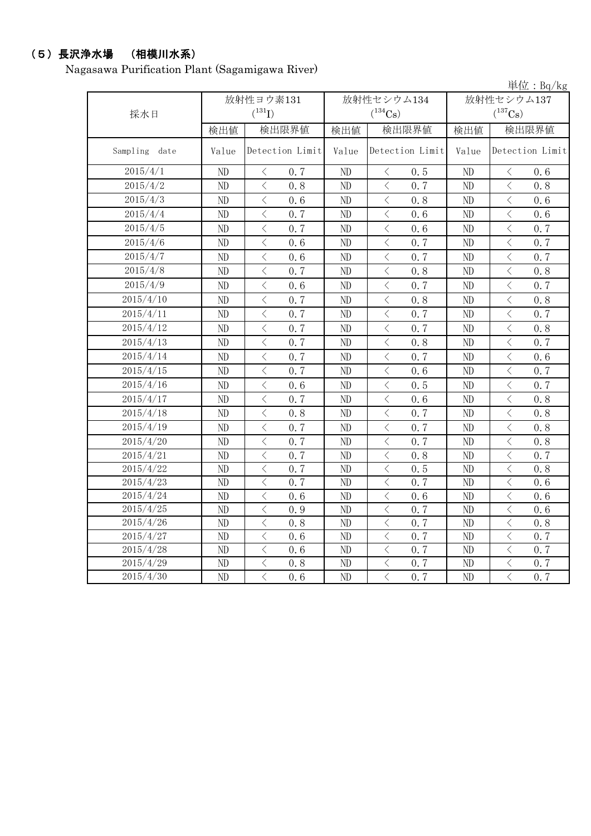# (5)長沢浄水場 (相模川水系)

Nagasawa Purification Plant (Sagamigawa River)

|               |          |                                                  |                |                                                  |                | 単位: $Bq/kg$                                                                                                                                                                         |  |
|---------------|----------|--------------------------------------------------|----------------|--------------------------------------------------|----------------|-------------------------------------------------------------------------------------------------------------------------------------------------------------------------------------|--|
|               |          | 放射性ヨウ素131                                        |                | 放射性セシウム134                                       | 放射性セシウム137     |                                                                                                                                                                                     |  |
| 採水日           |          | $(^{131}I)$                                      |                | $(^{134}Cs)$                                     |                | $(^{137}Cs)$                                                                                                                                                                        |  |
|               | 検出値      | 検出限界値                                            | 検出値            | 検出限界値                                            | 検出値            | 検出限界値                                                                                                                                                                               |  |
| Sampling date | Value    | Detection Limit                                  | Value          | Detection Limit                                  | Value          | Detection Limit                                                                                                                                                                     |  |
| 2015/4/1      | ND       | $\, <\,$<br>0.7                                  | ND             | $\langle$<br>0.5                                 | ND             | 0.6<br>$\lt$                                                                                                                                                                        |  |
| 2015/4/2      | ND       | $\,$ $\,$ $\,$<br>0.8                            | ND             | $\,$ $\,$ $\,$<br>0, 7                           | ND             | $\langle$<br>0.8                                                                                                                                                                    |  |
| 2015/4/3      | ND       | $\langle$<br>0.6                                 | ND             | $\,$ $\,$ $\,$<br>0, 8                           | ND             | $\lt$<br>0.6                                                                                                                                                                        |  |
| 2015/4/4      | ND       | $\, <\,$<br>0.7                                  | ND             | $\hspace{0.1mm} <\hspace{0.1mm}$<br>0.6          | ND             | $\, <\,$<br>0.6                                                                                                                                                                     |  |
| 2015/4/5      | ND       | $\,$ $\,$ $\,$<br>0.7                            | $\rm ND$       | $\overline{\left\langle \right\rangle }$<br>0.6  | ND             | $\overline{\left\langle \right. }% ,\left\langle \overline{\left\langle \right. }% ,\left\langle \overline{\left\langle \right. }\right\rangle \right\rangle \left. \right.$<br>0.7 |  |
| 2015/4/6      | ND       | $\overline{\left\langle \right\rangle }$<br>0.6  | ND             | $\langle$<br>0.7                                 | ND             | $\langle$<br>0.7                                                                                                                                                                    |  |
| 2015/4/7      | ND       | $\,$ $\,$ $\,$<br>0.6                            | ND             | $\overline{\left\langle \right\rangle }$<br>0, 7 | ND             | $\langle$<br>0.7                                                                                                                                                                    |  |
| 2015/4/8      | $\rm ND$ | $\,$ $\,$ $\,$<br>0.7                            | $\rm ND$       | $\lt$<br>0.8                                     | ND             | $\langle$<br>0.8                                                                                                                                                                    |  |
| 2015/4/9      | ND       | $\,$ $\,$ $\,$<br>0.6                            | ND             | $\langle$<br>0, 7                                | N <sub>D</sub> | $\overline{\left\langle \right\rangle }$<br>0.7                                                                                                                                     |  |
| 2015/4/10     | ND       | $\langle$<br>0.7                                 | $\rm ND$       | $\langle$<br>0.8                                 | ND             | $\langle$<br>0.8                                                                                                                                                                    |  |
| 2015/4/11     | ND       | $\langle$<br>0.7                                 | N <sub>D</sub> | $\langle$<br>0, 7                                | ND             | $\langle$<br>0.7                                                                                                                                                                    |  |
| 2015/4/12     | ND       | $\overline{\left\langle \right\rangle }$<br>0.7  | ND             | $\lt$<br>0, 7                                    | ND             | $\lt$<br>0.8                                                                                                                                                                        |  |
| 2015/4/13     | ND       | $\,$ $\,$ $\,$<br>0.7                            | ND             | $\lt$<br>0.8                                     | ND             | $\lt$<br>0.7                                                                                                                                                                        |  |
| 2015/4/14     | ND       | $\lt$<br>0.7                                     | ND             | $\lt$<br>0.7                                     | ND             | $\lt$<br>0.6                                                                                                                                                                        |  |
| 2015/4/15     | ND       | $\lt$<br>0.7                                     | ND             | $\overline{\left\langle \right\rangle }$<br>0.6  | ND             | $\langle$<br>0.7                                                                                                                                                                    |  |
| 2015/4/16     | $\rm ND$ | $\lt$<br>0.6                                     | ND             | $\langle$<br>0.5                                 | ND             | $\langle$<br>0.7                                                                                                                                                                    |  |
| 2015/4/17     | ND       | $\overline{\left\langle \right\rangle }$<br>0.7  | ND             | $\langle$<br>0.6                                 | ND             | $\overline{\left\langle \right\rangle }$<br>0.8                                                                                                                                     |  |
| 2015/4/18     | ND       | $\overline{\left\langle \right\rangle }$<br>0.8  | $\rm ND$       | $\langle$<br>0.7                                 | ND             | $\langle$<br>0.8                                                                                                                                                                    |  |
| 2015/4/19     | ND       | $\lt$<br>0.7                                     | ND             | $\langle$<br>0.7                                 | ND             | $\lt$<br>0.8                                                                                                                                                                        |  |
| 2015/4/20     | ND       | $\langle$<br>0.7                                 | ND             | $\overline{\left\langle \right\rangle }$<br>0, 7 | ND             | $\langle$<br>0.8                                                                                                                                                                    |  |
| 2015/4/21     | ND       | $\overline{\left\langle \right\rangle }$<br>0.7  | ND             | $\langle$<br>0.8                                 | ND             | $\lt$<br>0.7                                                                                                                                                                        |  |
| 2015/4/22     | ND       | $\overline{\left\langle \right\rangle }$<br>0, 7 | ND             | $\overline{\left\langle \right\rangle }$<br>0.5  | ND             | $\langle$<br>0.8                                                                                                                                                                    |  |
| 2015/4/23     | ND       | $\lt$<br>0.7                                     | ND             | $\overline{\left\langle \right\rangle }$<br>0, 7 | N <sub>D</sub> | $\lt$<br>0.6                                                                                                                                                                        |  |
| 2015/4/24     | ND       | $\lt$<br>0, 6                                    | ND             | $\langle$<br>0, 6                                | ND             | $\lt$<br>0.6                                                                                                                                                                        |  |
| 2015/4/25     | ND       | $\lt$<br>0.9                                     | ND             | $\langle$<br>0, 7                                | ND             | $\langle$<br>0.6                                                                                                                                                                    |  |
| 2015/4/26     | ND       | $\langle$<br>0.8                                 | ND             | $\overline{\left\langle \right\rangle }$<br>0, 7 | ND             | $\langle$<br>0.8                                                                                                                                                                    |  |
| 2015/4/27     | ND       | $\lt$<br>0.6                                     | ND             | $\langle$<br>0.7                                 | ND             | $\overline{\left\langle \right\rangle }$<br>0.7                                                                                                                                     |  |
| 2015/4/28     | ND       | $\langle$<br>0, 6                                | ND             | $\langle$<br>0, 7                                | ND             | $\overline{\langle}$<br>0.7                                                                                                                                                         |  |
| 2015/4/29     | ND       | $\langle$<br>0.8                                 | ND             | $\overline{\left\langle \right\rangle }$<br>0.7  | ND             | $\overline{\left\langle \right. }% ,\left\langle \overline{\left\langle \right. }% ,\left\langle \overline{\left\langle \right\rangle }\right\rangle \right.$<br>0.7                |  |
| 2015/4/30     | ND       | $\overline{\left\langle \right\rangle }$<br>0.6  | ND             | $\overline{\left\langle \right\rangle }$<br>0.7  | ND             | $\overline{\langle}$<br>0.7                                                                                                                                                         |  |